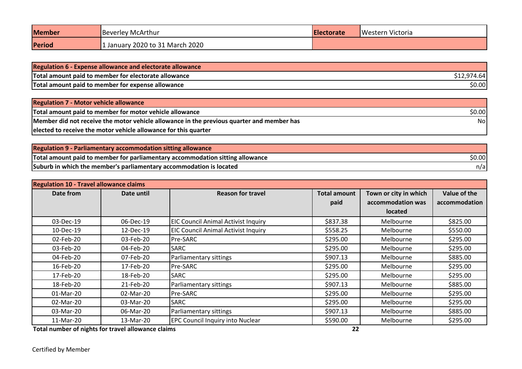| <b>Member</b> | Beverley McArthur               | <b>Electorate</b> | Western Victoria |
|---------------|---------------------------------|-------------------|------------------|
| Period        | : January 2020 to 31 March 2020 |                   |                  |

| <b>Regulation 6 - Expense allowance and electorate allowance</b> |                     |
|------------------------------------------------------------------|---------------------|
| Total amount paid to member for electorate allowance             | S12.974.64 <b>I</b> |
| Total amount paid to member for expense allowance                | \$0.00              |

| <b>Regulation 7 - Motor vehicle allowance</b>                                             |        |
|-------------------------------------------------------------------------------------------|--------|
| Total amount paid to member for motor vehicle allowance                                   | \$0.00 |
| Member did not receive the motor vehicle allowance in the previous quarter and member has | Nol    |
| elected to receive the motor vehicle allowance for this quarter                           |        |

| <b>Regulation 9 - Parliamentary accommodation sitting allowance</b>           |        |
|-------------------------------------------------------------------------------|--------|
| Total amount paid to member for parliamentary accommodation sitting allowance | \$0.00 |
| Suburb in which the member's parliamentary accommodation is located           | n/a    |

| <b>Regulation 10 - Travel allowance claims</b>                                                                                                                                                                                             |            |                                            |                             |                                                              |                               |
|--------------------------------------------------------------------------------------------------------------------------------------------------------------------------------------------------------------------------------------------|------------|--------------------------------------------|-----------------------------|--------------------------------------------------------------|-------------------------------|
| Date from                                                                                                                                                                                                                                  | Date until | <b>Reason for travel</b>                   | <b>Total amount</b><br>paid | Town or city in which<br>accommodation was<br><b>located</b> | Value of the<br>accommodation |
| 03-Dec-19                                                                                                                                                                                                                                  | 06-Dec-19  | <b>EIC Council Animal Activist Inquiry</b> | \$837.38                    | Melbourne                                                    | \$825.00                      |
| 10-Dec-19                                                                                                                                                                                                                                  | 12-Dec-19  | <b>EIC Council Animal Activist Inquiry</b> | \$558.25                    | Melbourne                                                    | \$550.00                      |
| 02-Feb-20                                                                                                                                                                                                                                  | 03-Feb-20  | Pre-SARC                                   | \$295.00                    | Melbourne                                                    | \$295.00                      |
| 03-Feb-20                                                                                                                                                                                                                                  | 04-Feb-20  | <b>SARC</b>                                | \$295.00                    | Melbourne                                                    | \$295.00                      |
| 04-Feb-20                                                                                                                                                                                                                                  | 07-Feb-20  | Parliamentary sittings                     | \$907.13                    | Melbourne                                                    | \$885.00                      |
| 16-Feb-20                                                                                                                                                                                                                                  | 17-Feb-20  | Pre-SARC                                   | \$295.00                    | Melbourne                                                    | \$295.00                      |
| 17-Feb-20                                                                                                                                                                                                                                  | 18-Feb-20  | <b>SARC</b>                                | \$295.00                    | Melbourne                                                    | \$295.00                      |
| 18-Feb-20                                                                                                                                                                                                                                  | 21-Feb-20  | Parliamentary sittings                     | \$907.13                    | Melbourne                                                    | \$885.00                      |
| 01-Mar-20                                                                                                                                                                                                                                  | 02-Mar-20  | Pre-SARC                                   | \$295.00                    | Melbourne                                                    | \$295.00                      |
| 02-Mar-20                                                                                                                                                                                                                                  | 03-Mar-20  | <b>SARC</b>                                | \$295.00                    | Melbourne                                                    | \$295.00                      |
| 03-Mar-20                                                                                                                                                                                                                                  | 06-Mar-20  | Parliamentary sittings                     | \$907.13                    | Melbourne                                                    | \$885.00                      |
| 11-Mar-20<br>₩ SINGHT START START OF THE THE LINE OF THE CONTRACT OF THE LINE OF THE WARRANT OF THE CONTRACT OF THE CONTRACT OF THE CONTRACT OF THE CONTRACT OF THE CONTRACT OF THE CONTRACT OF THE CONTRACT OF THE CONTRACT OF THE CONTRA | 13-Mar-20  | <b>EPC Council Inquiry into Nuclear</b>    | \$590.00<br>~~              | Melbourne                                                    | \$295.00                      |

**Total number of nights for travel allowance claims 22**